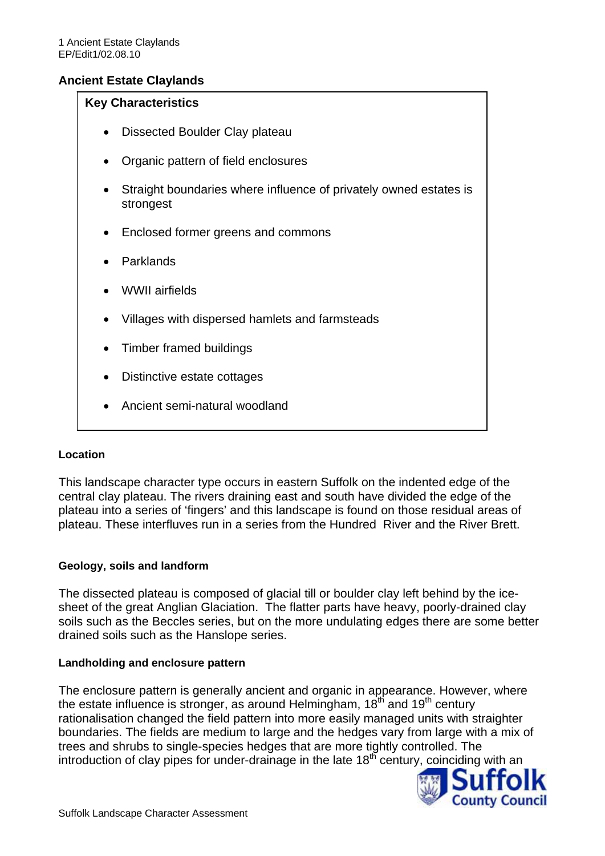# **Ancient Estate Claylands**

#### **Key Characteristics**

- Dissected Boulder Clay plateau
- Organic pattern of field enclosures
- Straight boundaries where influence of privately owned estates is strongest
- Enclosed former greens and commons
- Parklands
- WWII airfields
- Villages with dispersed hamlets and farmsteads
- Timber framed buildings
- Distinctive estate cottages
- Ancient semi-natural woodland

#### **Location**

This landscape character type occurs in eastern Suffolk on the indented edge of the central clay plateau. The rivers draining east and south have divided the edge of the plateau into a series of 'fingers' and this landscape is found on those residual areas of plateau. These interfluves run in a series from the Hundred River and the River Brett.

#### **Geology, soils and landform**

The dissected plateau is composed of glacial till or boulder clay left behind by the icesheet of the great Anglian Glaciation. The flatter parts have heavy, poorly-drained clay soils such as the Beccles series, but on the more undulating edges there are some better drained soils such as the Hanslope series.

#### **Landholding and enclosure pattern**

The enclosure pattern is generally ancient and organic in appearance. However, where the estate influence is stronger, as around Helmingham,  $18<sup>th</sup>$  and  $19<sup>th</sup>$  century rationalisation changed the field pattern into more easily managed units with straighter boundaries. The fields are medium to large and the hedges vary from large with a mix of trees and shrubs to single-species hedges that are more tightly controlled. The introduction of clay pipes for under-drainage in the late  $18<sup>th</sup>$  century, coinciding with an